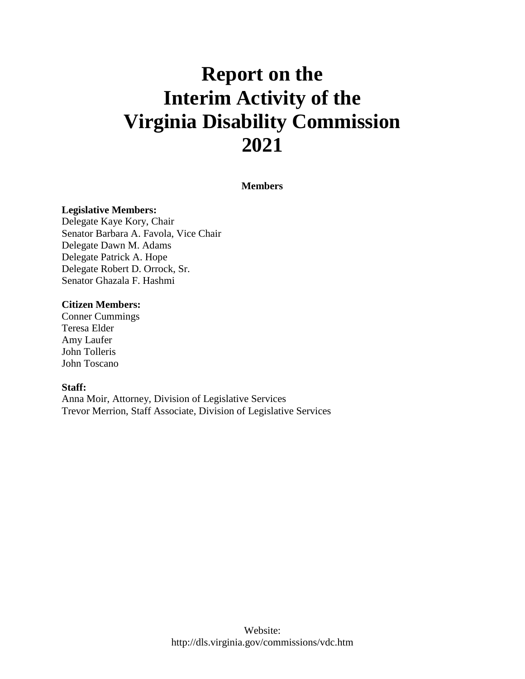# **Report on the Interim Activity of the Virginia Disability Commission 2021**

#### **Members**

#### **Legislative Members:**

Delegate Kaye Kory, Chair Senator Barbara A. Favola, Vice Chair Delegate Dawn M. Adams Delegate Patrick A. Hope Delegate Robert D. Orrock, Sr. Senator Ghazala F. Hashmi

#### **Citizen Members:**

Conner Cummings Teresa Elder Amy Laufer John Tolleris John Toscano

#### **Staff:**

Anna Moir, Attorney, Division of Legislative Services Trevor Merrion, Staff Associate, Division of Legislative Services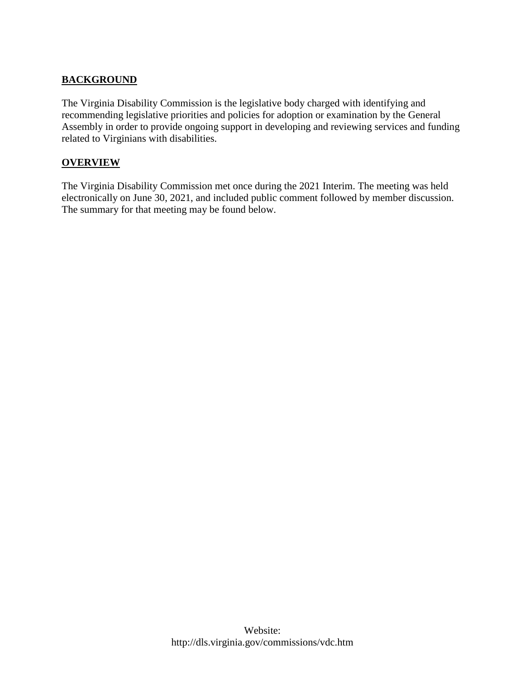# **BACKGROUND**

The Virginia Disability Commission is the legislative body charged with identifying and recommending legislative priorities and policies for adoption or examination by the General Assembly in order to provide ongoing support in developing and reviewing services and funding related to Virginians with disabilities.

#### **OVERVIEW**

The Virginia Disability Commission met once during the 2021 Interim. The meeting was held electronically on June 30, 2021, and included public comment followed by member discussion. The summary for that meeting may be found below.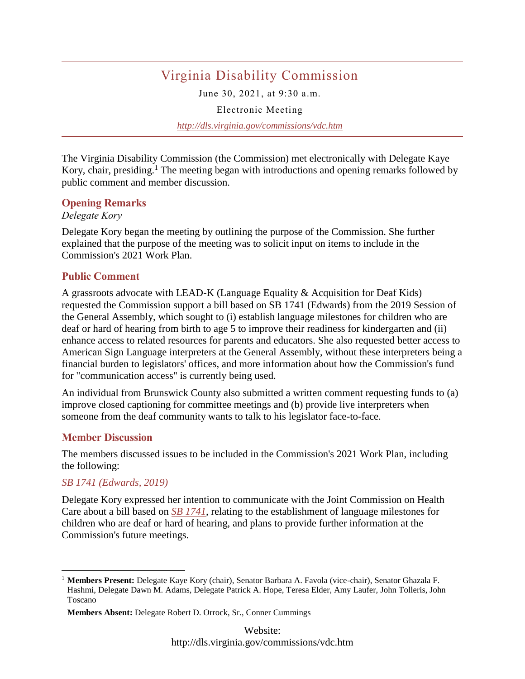# Virginia Disability Commission

June 30, 2021, at 9:30 a.m.

Electronic Meeting

*http://dls.virginia.gov/commissions/vdc.htm*

The Virginia Disability Commission (the Commission) met electronically with Delegate Kaye Kory, chair, presiding.<sup>1</sup> The meeting began with introductions and opening remarks followed by public comment and member discussion.

#### **Opening Remarks**

#### *Delegate Kory*

Delegate Kory began the meeting by outlining the purpose of the Commission. She further explained that the purpose of the meeting was to solicit input on items to include in the Commission's 2021 Work Plan.

#### **Public Comment**

A grassroots advocate with LEAD-K (Language Equality & Acquisition for Deaf Kids) requested the Commission support a bill based on SB 1741 (Edwards) from the 2019 Session of the General Assembly, which sought to (i) establish language milestones for children who are deaf or hard of hearing from birth to age 5 to improve their readiness for kindergarten and (ii) enhance access to related resources for parents and educators. She also requested better access to American Sign Language interpreters at the General Assembly, without these interpreters being a financial burden to legislators' offices, and more information about how the Commission's fund for "communication access" is currently being used.

An individual from Brunswick County also submitted a written comment requesting funds to (a) improve closed captioning for committee meetings and (b) provide live interpreters when someone from the deaf community wants to talk to his legislator face-to-face.

#### **Member Discussion**

The members discussed issues to be included in the Commission's 2021 Work Plan, including the following:

#### *SB 1741 (Edwards, 2019)*

 $\overline{a}$ 

Delegate Kory expressed her intention to communicate with the Joint Commission on Health Care about a bill based on *[SB 1741](https://lis.virginia.gov/cgi-bin/legp604.exe?191+sum+SB1741)*, relating to the establishment of language milestones for children who are deaf or hard of hearing, and plans to provide further information at the Commission's future meetings.

<sup>1</sup> **Members Present:** Delegate Kaye Kory (chair), Senator Barbara A. Favola (vice-chair), Senator Ghazala F. Hashmi, Delegate Dawn M. Adams, Delegate Patrick A. Hope, Teresa Elder, Amy Laufer, John Tolleris, John Toscano

**Members Absent:** Delegate Robert D. Orrock, Sr., Conner Cummings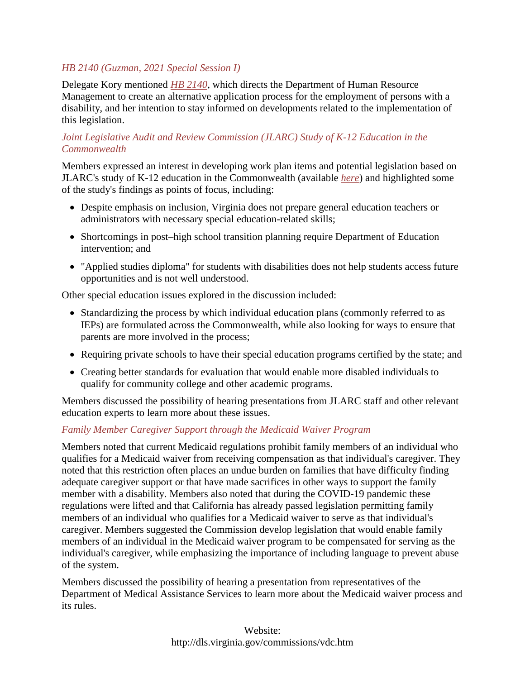# *HB 2140 (Guzman, 2021 Special Session I)*

Delegate Kory mentioned *[HB 2140](https://lis.virginia.gov/cgi-bin/legp604.exe?212+sum+HB2140)*, which directs the Department of Human Resource Management to create an alternative application process for the employment of persons with a disability, and her intention to stay informed on developments related to the implementation of this legislation.

## *Joint Legislative Audit and Review Commission (JLARC) Study of K-12 Education in the Commonwealth*

Members expressed an interest in developing work plan items and potential legislation based on JLARC's study of K-12 education in the Commonwealth (available *[here](http://jlarc.virginia.gov/landing-2020-special-education.asp)*) and highlighted some of the study's findings as points of focus, including:

- Despite emphasis on inclusion, Virginia does not prepare general education teachers or administrators with necessary special education-related skills;
- Shortcomings in post–high school transition planning require Department of Education intervention; and
- "Applied studies diploma" for students with disabilities does not help students access future opportunities and is not well understood.

Other special education issues explored in the discussion included:

- Standardizing the process by which individual education plans (commonly referred to as IEPs) are formulated across the Commonwealth, while also looking for ways to ensure that parents are more involved in the process;
- Requiring private schools to have their special education programs certified by the state; and
- Creating better standards for evaluation that would enable more disabled individuals to qualify for community college and other academic programs.

Members discussed the possibility of hearing presentations from JLARC staff and other relevant education experts to learn more about these issues.

## *Family Member Caregiver Support through the Medicaid Waiver Program*

Members noted that current Medicaid regulations prohibit family members of an individual who qualifies for a Medicaid waiver from receiving compensation as that individual's caregiver. They noted that this restriction often places an undue burden on families that have difficulty finding adequate caregiver support or that have made sacrifices in other ways to support the family member with a disability. Members also noted that during the COVID-19 pandemic these regulations were lifted and that California has already passed legislation permitting family members of an individual who qualifies for a Medicaid waiver to serve as that individual's caregiver. Members suggested the Commission develop legislation that would enable family members of an individual in the Medicaid waiver program to be compensated for serving as the individual's caregiver, while emphasizing the importance of including language to prevent abuse of the system.

Members discussed the possibility of hearing a presentation from representatives of the Department of Medical Assistance Services to learn more about the Medicaid waiver process and its rules.